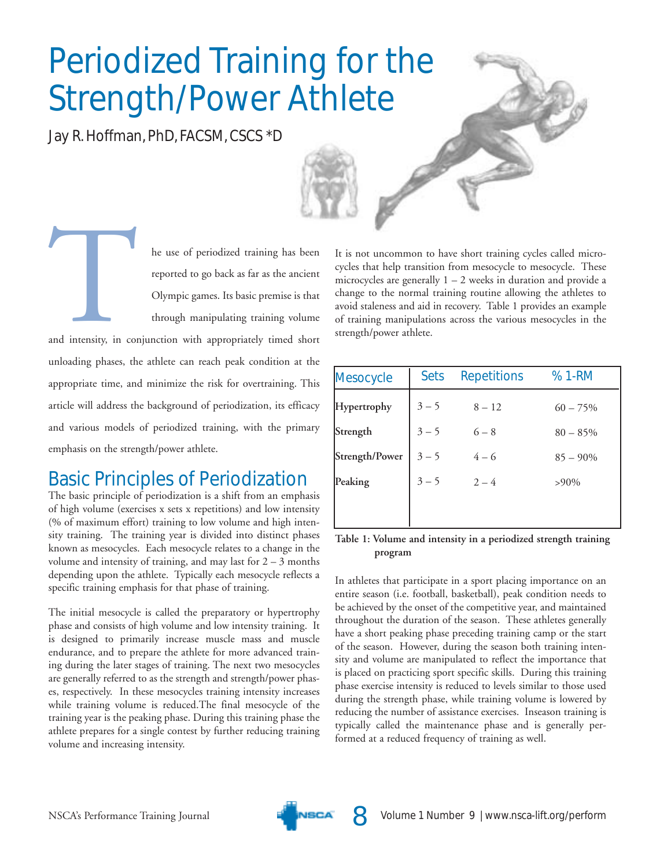# **Periodized Training for the Strength/Power Athlete**

Jay R. Hoffman, PhD, FACSM, CSCS \*D



he use of periodized training has been reported to go back as far as the ancient Olympic games. Its basic premise is that through manipulating training volume

and intensity, in conjunction with appropriately timed short unloading phases, the athlete can reach peak condition at the appropriate time, and minimize the risk for overtraining. This article will address the background of periodization, its efficacy and various models of periodized training, with the primary emphasis on the strength/power athlete.

### **Basic Principles of Periodization**

The basic principle of periodization is a shift from an emphasis of high volume (exercises x sets x repetitions) and low intensity (% of maximum effort) training to low volume and high intensity training. The training year is divided into distinct phases known as mesocycles. Each mesocycle relates to a change in the volume and intensity of training, and may last for  $2 - 3$  months depending upon the athlete. Typically each mesocycle reflects a specific training emphasis for that phase of training.

The initial mesocycle is called the preparatory or hypertrophy phase and consists of high volume and low intensity training. It is designed to primarily increase muscle mass and muscle endurance, and to prepare the athlete for more advanced training during the later stages of training. The next two mesocycles are generally referred to as the strength and strength/power phases, respectively. In these mesocycles training intensity increases while training volume is reduced. The final mesocycle of the training year is the peaking phase. During this training phase the athlete prepares for a single contest by further reducing training volume and increasing intensity.

It is not uncommon to have short training cycles called microcycles that help transition from mesocycle to mesocycle. These microcycles are generally  $1 - 2$  weeks in duration and provide a change to the normal training routine allowing the athletes to avoid staleness and aid in recovery. Table 1 provides an example of training manipulations across the various mesocycles in the strength/power athlete.

| <b>Sets</b> | <b>Repetitions</b> | % 1-RM      |  |
|-------------|--------------------|-------------|--|
| $3 - 5$     | $8 - 12$           | $60 - 75%$  |  |
| $3 - 5$     | $6 - 8$            | $80 - 85%$  |  |
| $3 - 5$     | $4 - 6$            | $85 - 90\%$ |  |
| $3 - 5$     | $2 - 4$            | $>90\%$     |  |
|             |                    |             |  |
|             |                    |             |  |

#### Table 1: Volume and intensity in a periodized strength training program

In athletes that participate in a sport placing importance on an entire season (i.e. football, basketball), peak condition needs to be achieved by the onset of the competitive year, and maintained throughout the duration of the season. These athletes generally have a short peaking phase preceding training camp or the start of the season. However, during the season both training intensity and volume are manipulated to reflect the importance that is placed on practicing sport specific skills. During this training phase exercise intensity is reduced to levels similar to those used during the strength phase, while training volume is lowered by reducing the number of assistance exercises. Inseason training is typically called the maintenance phase and is generally performed at a reduced frequency of training as well.



8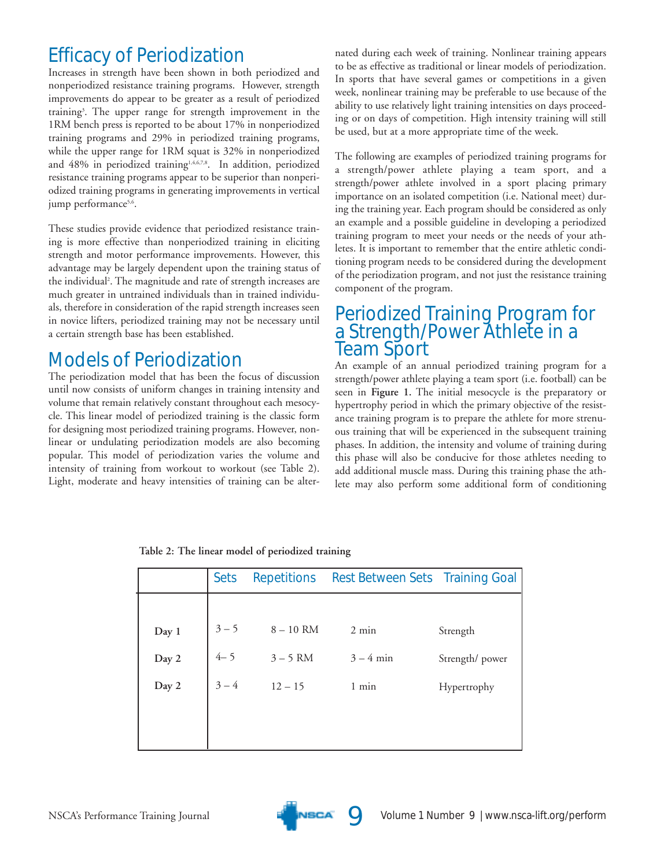### **Efficacy of Periodization**

Increases in strength have been shown in both periodized and nonperiodized resistance training programs. However, strength improvements do appear to be greater as a result of periodized training<sup>3</sup>. The upper range for strength improvement in the 1RM bench press is reported to be about 17% in nonperiodized training programs and 29% in periodized training programs, while the upper range for 1RM squat is 32% in nonperiodized and 48% in periodized training<sup>1,4,6,7,8</sup>. In addition, periodized resistance training programs appear to be superior than nonperiodized training programs in generating improvements in vertical jump performance<sup>5,6</sup>.

These studies provide evidence that periodized resistance training is more effective than nonperiodized training in eliciting strength and motor performance improvements. However, this advantage may be largely dependent upon the training status of the individual<sup>2</sup>. The magnitude and rate of strength increases are much greater in untrained individuals than in trained individuals, therefore in consideration of the rapid strength increases seen in novice lifters, periodized training may not be necessary until a certain strength base has been established.

### **Models of Periodization**

The periodization model that has been the focus of discussion until now consists of uniform changes in training intensity and volume that remain relatively constant throughout each mesocycle. This linear model of periodized training is the classic form for designing most periodized training programs. However, nonlinear or undulating periodization models are also becoming popular. This model of periodization varies the volume and intensity of training from workout to workout (see Table 2). Light, moderate and heavy intensities of training can be alternated during each week of training. Nonlinear training appears to be as effective as traditional or linear models of periodization. In sports that have several games or competitions in a given week, nonlinear training may be preferable to use because of the ability to use relatively light training intensities on days proceeding or on days of competition. High intensity training will still be used, but at a more appropriate time of the week.

The following are examples of periodized training programs for a strength/power athlete playing a team sport, and a strength/power athlete involved in a sport placing primary importance on an isolated competition (i.e. National meet) during the training year. Each program should be considered as only an example and a possible guideline in developing a periodized training program to meet your needs or the needs of your athletes. It is important to remember that the entire athletic conditioning program needs to be considered during the development of the periodization program, and not just the resistance training component of the program.

## Periodized Training Program for<br>a Strength/Power Athlete in a **Team Sport**

An example of an annual periodized training program for a strength/power athlete playing a team sport (i.e. football) can be seen in Figure 1. The initial mesocycle is the preparatory or hypertrophy period in which the primary objective of the resistance training program is to prepare the athlete for more strenuous training that will be experienced in the subsequent training phases. In addition, the intensity and volume of training during this phase will also be conducive for those athletes needing to add additional muscle mass. During this training phase the athlete may also perform some additional form of conditioning

|       | <b>Sets</b> | <b>Repetitions</b> | Rest Between Sets Training Goal |                |
|-------|-------------|--------------------|---------------------------------|----------------|
|       |             |                    |                                 |                |
| Day 1 | $3 - 5$     | $8-10$ RM          | $2 \text{ min}$                 | Strength       |
| Day 2 | $4 - 5$     | $3 - 5$ RM         | $3 - 4$ min                     | Strength/power |
| Day 2 | $3 - 4$     | $12 - 15$          | $1$ min                         | Hypertrophy    |
|       |             |                    |                                 |                |
|       |             |                    |                                 |                |

Table 2: The linear model of periodized training

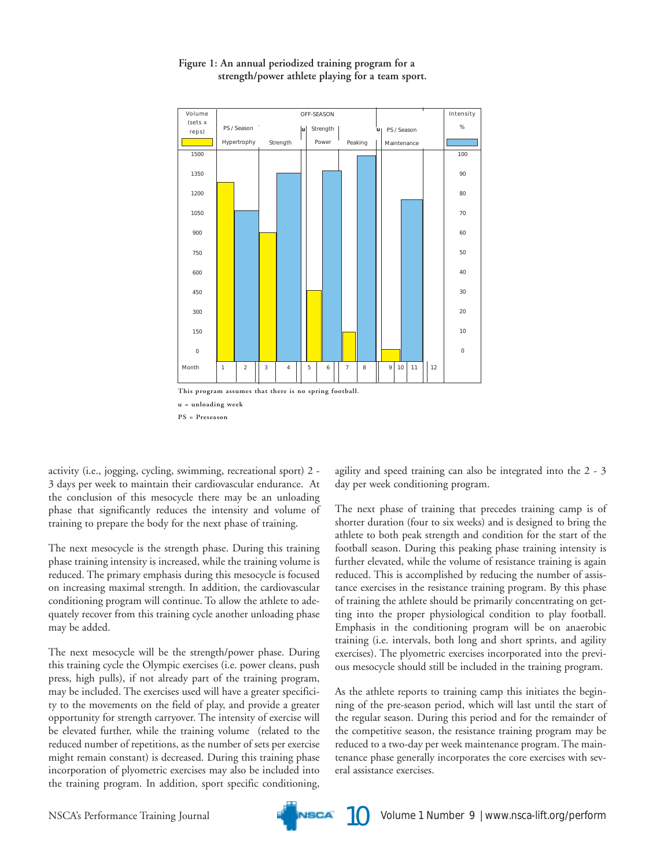

#### Figure 1: An annual periodized training program for a strength/power athlete playing for a team sport.

activity (i.e., jogging, cycling, swimming, recreational sport) 2 -3 days per week to maintain their cardiovascular endurance. At the conclusion of this mesocycle there may be an unloading phase that significantly reduces the intensity and volume of training to prepare the body for the next phase of training.

The next mesocycle is the strength phase. During this training phase training intensity is increased, while the training volume is reduced. The primary emphasis during this mesocycle is focused on increasing maximal strength. In addition, the cardiovascular conditioning program will continue. To allow the athlete to adequately recover from this training cycle another unloading phase may be added.

The next mesocycle will be the strength/power phase. During this training cycle the Olympic exercises (i.e. power cleans, push press, high pulls), if not already part of the training program, may be included. The exercises used will have a greater specificity to the movements on the field of play, and provide a greater opportunity for strength carryover. The intensity of exercise will be elevated further, while the training volume (related to the reduced number of repetitions, as the number of sets per exercise might remain constant) is decreased. During this training phase incorporation of plyometric exercises may also be included into the training program. In addition, sport specific conditioning,

agility and speed training can also be integrated into the 2 - 3 day per week conditioning program.

The next phase of training that precedes training camp is of shorter duration (four to six weeks) and is designed to bring the athlete to both peak strength and condition for the start of the football season. During this peaking phase training intensity is further elevated, while the volume of resistance training is again reduced. This is accomplished by reducing the number of assistance exercises in the resistance training program. By this phase of training the athlete should be primarily concentrating on getting into the proper physiological condition to play football. Emphasis in the conditioning program will be on anaerobic training (i.e. intervals, both long and short sprints, and agility exercises). The plyometric exercises incorporated into the previous mesocycle should still be included in the training program.

As the athlete reports to training camp this initiates the beginning of the pre-season period, which will last until the start of the regular season. During this period and for the remainder of the competitive season, the resistance training program may be reduced to a two-day per week maintenance program. The maintenance phase generally incorporates the core exercises with several assistance exercises.

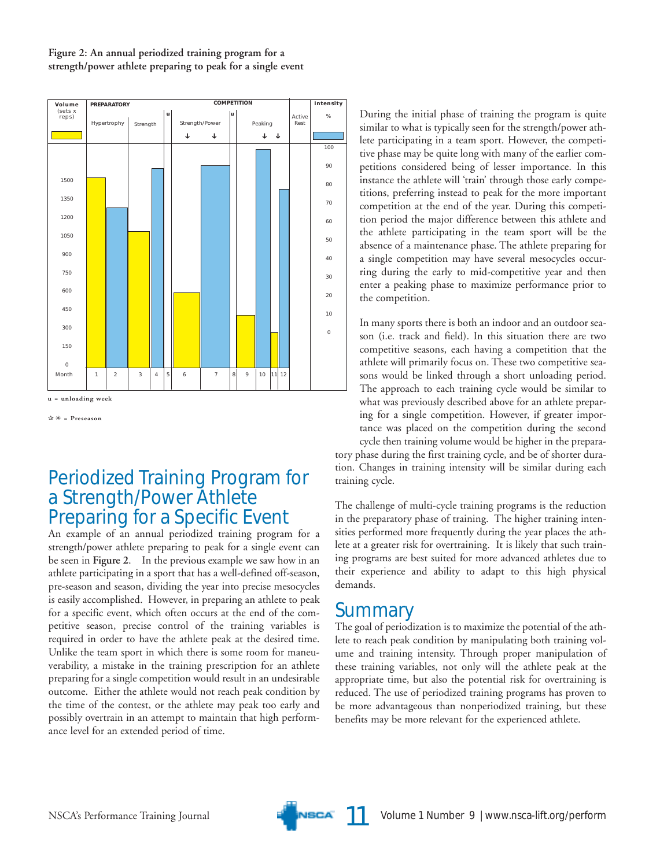#### Figure 2: An annual periodized training program for a strength/power athlete preparing to peak for a single event



 $\forall x \ast = \text{Preseason}$ 

### **Periodized Training Program for** a Strength/Power Athlete **Preparing for a Specific Event**

An example of an annual periodized training program for a strength/power athlete preparing to peak for a single event can be seen in Figure 2. In the previous example we saw how in an athlete participating in a sport that has a well-defined off-season, pre-season and season, dividing the year into precise mesocycles is easily accomplished. However, in preparing an athlete to peak for a specific event, which often occurs at the end of the competitive season, precise control of the training variables is required in order to have the athlete peak at the desired time. Unlike the team sport in which there is some room for maneuverability, a mistake in the training prescription for an athlete preparing for a single competition would result in an undesirable outcome. Either the athlete would not reach peak condition by the time of the contest, or the athlete may peak too early and possibly overtrain in an attempt to maintain that high performance level for an extended period of time.

During the initial phase of training the program is quite similar to what is typically seen for the strength/power athlete participating in a team sport. However, the competitive phase may be quite long with many of the earlier competitions considered being of lesser importance. In this instance the athlete will 'train' through those early competitions, preferring instead to peak for the more important competition at the end of the year. During this competition period the major difference between this athlete and the athlete participating in the team sport will be the absence of a maintenance phase. The athlete preparing for a single competition may have several mesocycles occurring during the early to mid-competitive year and then enter a peaking phase to maximize performance prior to the competition.

In many sports there is both an indoor and an outdoor season (i.e. track and field). In this situation there are two competitive seasons, each having a competition that the athlete will primarily focus on. These two competitive seasons would be linked through a short unloading period. The approach to each training cycle would be similar to what was previously described above for an athlete preparing for a single competition. However, if greater importance was placed on the competition during the second cycle then training volume would be higher in the preparatory phase during the first training cycle, and be of shorter duration. Changes in training intensity will be similar during each training cycle.

The challenge of multi-cycle training programs is the reduction in the preparatory phase of training. The higher training intensities performed more frequently during the year places the athlete at a greater risk for overtraining. It is likely that such training programs are best suited for more advanced athletes due to their experience and ability to adapt to this high physical demands.

### Summary

The goal of periodization is to maximize the potential of the athlete to reach peak condition by manipulating both training volume and training intensity. Through proper manipulation of these training variables, not only will the athlete peak at the appropriate time, but also the potential risk for overtraining is reduced. The use of periodized training programs has proven to be more advantageous than nonperiodized training, but these benefits may be more relevant for the experienced athlete.